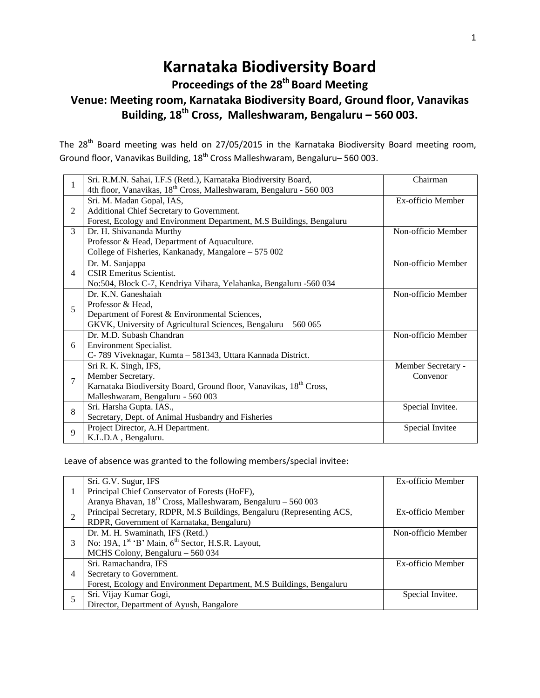# **Karnataka Biodiversity Board**

# **Proceedings of the 28 th Board Meeting Venue: Meeting room, Karnataka Biodiversity Board, Ground floor, Vanavikas Building, 18 th Cross, Malleshwaram, Bengaluru – 560 003.**

The 28<sup>th</sup> Board meeting was held on 27/05/2015 in the Karnataka Biodiversity Board meeting room, Ground floor, Vanavikas Building, 18<sup>th</sup> Cross Malleshwaram, Bengaluru– 560 003.

| $\mathbf{1}$ | Sri. R.M.N. Sahai, I.F.S (Retd.), Karnataka Biodiversity Board,                 | Chairman           |
|--------------|---------------------------------------------------------------------------------|--------------------|
|              | 4th floor, Vanavikas, 18 <sup>th</sup> Cross, Malleshwaram, Bengaluru - 560 003 |                    |
|              | Sri. M. Madan Gopal, IAS,                                                       | Ex-officio Member  |
| 2            | Additional Chief Secretary to Government.                                       |                    |
|              | Forest, Ecology and Environment Department, M.S Buildings, Bengaluru            |                    |
| 3            | Dr. H. Shivananda Murthy                                                        | Non-officio Member |
|              | Professor & Head, Department of Aquaculture.                                    |                    |
|              | College of Fisheries, Kankanady, Mangalore - 575 002                            |                    |
| 4            | Dr. M. Sanjappa                                                                 | Non-officio Member |
|              | <b>CSIR Emeritus Scientist.</b>                                                 |                    |
|              | No:504, Block C-7, Kendriya Vihara, Yelahanka, Bengaluru -560 034               |                    |
|              | Dr. K.N. Ganeshaiah                                                             | Non-officio Member |
| 5            | Professor & Head,                                                               |                    |
|              | Department of Forest & Environmental Sciences,                                  |                    |
|              | GKVK, University of Agricultural Sciences, Bengaluru - 560 065                  |                    |
| 6            | Dr. M.D. Subash Chandran                                                        | Non-officio Member |
|              | Environment Specialist.                                                         |                    |
|              | C-789 Viveknagar, Kumta - 581343, Uttara Kannada District.                      |                    |
| 7            | Sri R. K. Singh, IFS,                                                           | Member Secretary - |
|              | Member Secretary.                                                               | Convenor           |
|              | Karnataka Biodiversity Board, Ground floor, Vanavikas, 18 <sup>th</sup> Cross,  |                    |
|              | Malleshwaram, Bengaluru - 560 003                                               |                    |
| 8            | Sri. Harsha Gupta. IAS.,                                                        | Special Invitee.   |
|              | Secretary, Dept. of Animal Husbandry and Fisheries                              |                    |
| 9            | Project Director, A.H Department.                                               | Special Invitee    |
|              | K.L.D.A, Bengaluru.                                                             |                    |

Leave of absence was granted to the following members/special invitee:

|   | Sri. G.V. Sugur, IFS                                                      | Ex-officio Member  |
|---|---------------------------------------------------------------------------|--------------------|
|   | Principal Chief Conservator of Forests (HoFF),                            |                    |
|   | Aranya Bhavan, 18 <sup>th</sup> Cross, Malleshwaram, Bengaluru - 560 003  |                    |
| 2 | Principal Secretary, RDPR, M.S Buildings, Bengaluru (Representing ACS,    | Ex-officio Member  |
|   | RDPR, Government of Karnataka, Bengaluru)                                 |                    |
| 3 | Dr. M. H. Swaminath, IFS (Retd.)                                          | Non-officio Member |
|   | No: 19A, 1 <sup>st</sup> 'B' Main, 6 <sup>th</sup> Sector, H.S.R. Layout, |                    |
|   | MCHS Colony, Bengaluru - 560 034                                          |                    |
| 4 | Sri. Ramachandra, IFS                                                     | Ex-officio Member  |
|   | Secretary to Government.                                                  |                    |
|   | Forest, Ecology and Environment Department, M.S Buildings, Bengaluru      |                    |
|   | Sri. Vijay Kumar Gogi,                                                    | Special Invitee.   |
|   | Director, Department of Ayush, Bangalore                                  |                    |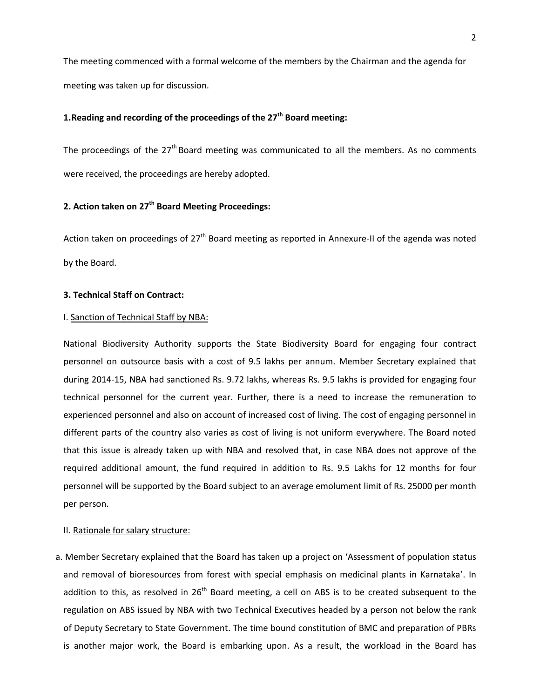The meeting commenced with a formal welcome of the members by the Chairman and the agenda for meeting was taken up for discussion.

## **1.Reading and recording of the proceedings of the 27 th Board meeting:**

The proceedings of the  $27<sup>th</sup>$  Board meeting was communicated to all the members. As no comments were received, the proceedings are hereby adopted.

# **2. Action taken on 27th Board Meeting Proceedings:**

Action taken on proceedings of 27<sup>th</sup> Board meeting as reported in Annexure-II of the agenda was noted by the Board.

#### **3. Technical Staff on Contract:**

#### I. Sanction of Technical Staff by NBA:

National Biodiversity Authority supports the State Biodiversity Board for engaging four contract personnel on outsource basis with a cost of 9.5 lakhs per annum. Member Secretary explained that during 2014-15, NBA had sanctioned Rs. 9.72 lakhs, whereas Rs. 9.5 lakhs is provided for engaging four technical personnel for the current year. Further, there is a need to increase the remuneration to experienced personnel and also on account of increased cost of living. The cost of engaging personnel in different parts of the country also varies as cost of living is not uniform everywhere. The Board noted that this issue is already taken up with NBA and resolved that, in case NBA does not approve of the required additional amount, the fund required in addition to Rs. 9.5 Lakhs for 12 months for four personnel will be supported by the Board subject to an average emolument limit of Rs. 25000 per month per person.

#### II. Rationale for salary structure:

a. Member Secretary explained that the Board has taken up a project on 'Assessment of population status and removal of bioresources from forest with special emphasis on medicinal plants in Karnataka'. In addition to this, as resolved in 26<sup>th</sup> Board meeting, a cell on ABS is to be created subsequent to the regulation on ABS issued by NBA with two Technical Executives headed by a person not below the rank of Deputy Secretary to State Government. The time bound constitution of BMC and preparation of PBRs is another major work, the Board is embarking upon. As a result, the workload in the Board has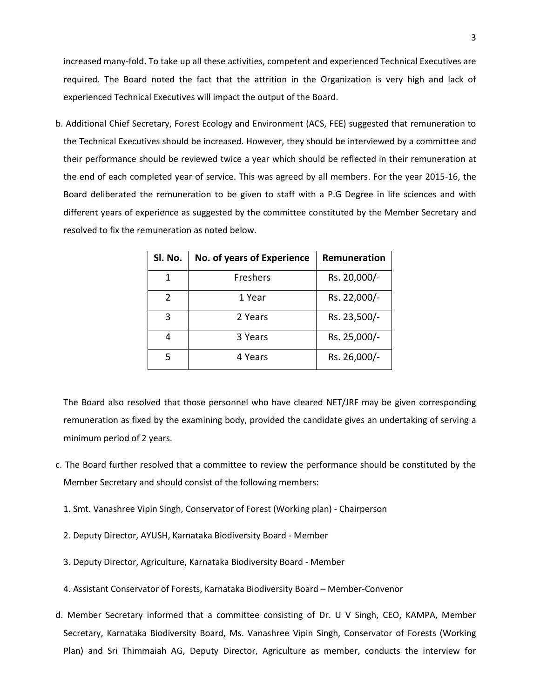increased many-fold. To take up all these activities, competent and experienced Technical Executives are required. The Board noted the fact that the attrition in the Organization is very high and lack of experienced Technical Executives will impact the output of the Board.

b. Additional Chief Secretary, Forest Ecology and Environment (ACS, FEE) suggested that remuneration to the Technical Executives should be increased. However, they should be interviewed by a committee and their performance should be reviewed twice a year which should be reflected in their remuneration at the end of each completed year of service. This was agreed by all members. For the year 2015-16, the Board deliberated the remuneration to be given to staff with a P.G Degree in life sciences and with different years of experience as suggested by the committee constituted by the Member Secretary and resolved to fix the remuneration as noted below.

| Sl. No.       | No. of years of Experience | Remuneration |
|---------------|----------------------------|--------------|
| 1             | Freshers                   | Rs. 20,000/- |
| $\mathcal{P}$ | 1 Year                     | Rs. 22,000/- |
| 3             | 2 Years                    | Rs. 23,500/- |
| 4             | 3 Years                    | Rs. 25,000/- |
| 5             | 4 Years                    | Rs. 26,000/- |

The Board also resolved that those personnel who have cleared NET/JRF may be given corresponding remuneration as fixed by the examining body, provided the candidate gives an undertaking of serving a minimum period of 2 years.

- c. The Board further resolved that a committee to review the performance should be constituted by the Member Secretary and should consist of the following members:
	- 1. Smt. Vanashree Vipin Singh, Conservator of Forest (Working plan) Chairperson
	- 2. Deputy Director, AYUSH, Karnataka Biodiversity Board Member
	- 3. Deputy Director, Agriculture, Karnataka Biodiversity Board Member
	- 4. Assistant Conservator of Forests, Karnataka Biodiversity Board Member-Convenor
- d. Member Secretary informed that a committee consisting of Dr. U V Singh, CEO, KAMPA, Member Secretary, Karnataka Biodiversity Board, Ms. Vanashree Vipin Singh, Conservator of Forests (Working Plan) and Sri Thimmaiah AG, Deputy Director, Agriculture as member, conducts the interview for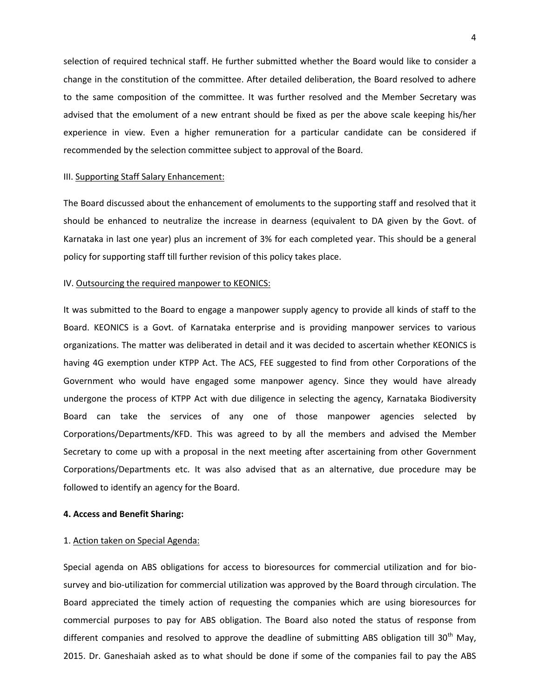selection of required technical staff. He further submitted whether the Board would like to consider a change in the constitution of the committee. After detailed deliberation, the Board resolved to adhere to the same composition of the committee. It was further resolved and the Member Secretary was advised that the emolument of a new entrant should be fixed as per the above scale keeping his/her experience in view. Even a higher remuneration for a particular candidate can be considered if recommended by the selection committee subject to approval of the Board.

#### III. Supporting Staff Salary Enhancement:

The Board discussed about the enhancement of emoluments to the supporting staff and resolved that it should be enhanced to neutralize the increase in dearness (equivalent to DA given by the Govt. of Karnataka in last one year) plus an increment of 3% for each completed year. This should be a general policy for supporting staff till further revision of this policy takes place.

#### IV. Outsourcing the required manpower to KEONICS:

It was submitted to the Board to engage a manpower supply agency to provide all kinds of staff to the Board. KEONICS is a Govt. of Karnataka enterprise and is providing manpower services to various organizations. The matter was deliberated in detail and it was decided to ascertain whether KEONICS is having 4G exemption under KTPP Act. The ACS, FEE suggested to find from other Corporations of the Government who would have engaged some manpower agency. Since they would have already undergone the process of KTPP Act with due diligence in selecting the agency, Karnataka Biodiversity Board can take the services of any one of those manpower agencies selected by Corporations/Departments/KFD. This was agreed to by all the members and advised the Member Secretary to come up with a proposal in the next meeting after ascertaining from other Government Corporations/Departments etc. It was also advised that as an alternative, due procedure may be followed to identify an agency for the Board.

#### **4. Access and Benefit Sharing:**

#### 1. Action taken on Special Agenda:

Special agenda on ABS obligations for access to bioresources for commercial utilization and for biosurvey and bio-utilization for commercial utilization was approved by the Board through circulation. The Board appreciated the timely action of requesting the companies which are using bioresources for commercial purposes to pay for ABS obligation. The Board also noted the status of response from different companies and resolved to approve the deadline of submitting ABS obligation till 30<sup>th</sup> May, 2015. Dr. Ganeshaiah asked as to what should be done if some of the companies fail to pay the ABS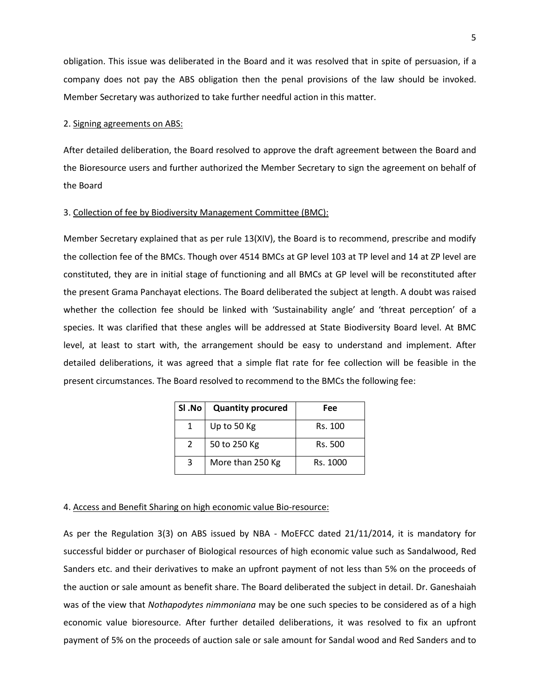obligation. This issue was deliberated in the Board and it was resolved that in spite of persuasion, if a company does not pay the ABS obligation then the penal provisions of the law should be invoked. Member Secretary was authorized to take further needful action in this matter.

#### 2. Signing agreements on ABS:

After detailed deliberation, the Board resolved to approve the draft agreement between the Board and the Bioresource users and further authorized the Member Secretary to sign the agreement on behalf of the Board

#### 3. Collection of fee by Biodiversity Management Committee (BMC):

Member Secretary explained that as per rule 13(XIV), the Board is to recommend, prescribe and modify the collection fee of the BMCs. Though over 4514 BMCs at GP level 103 at TP level and 14 at ZP level are constituted, they are in initial stage of functioning and all BMCs at GP level will be reconstituted after the present Grama Panchayat elections. The Board deliberated the subject at length. A doubt was raised whether the collection fee should be linked with 'Sustainability angle' and 'threat perception' of a species. It was clarified that these angles will be addressed at State Biodiversity Board level. At BMC level, at least to start with, the arrangement should be easy to understand and implement. After detailed deliberations, it was agreed that a simple flat rate for fee collection will be feasible in the present circumstances. The Board resolved to recommend to the BMCs the following fee:

| SI .No | <b>Quantity procured</b> | Fee      |
|--------|--------------------------|----------|
|        | Up to 50 Kg              | Rs. 100  |
| 2      | 50 to 250 Kg             | Rs. 500  |
| 3      | More than 250 Kg         | Rs. 1000 |

#### 4. Access and Benefit Sharing on high economic value Bio-resource:

As per the Regulation 3(3) on ABS issued by NBA - MoEFCC dated 21/11/2014, it is mandatory for successful bidder or purchaser of Biological resources of high economic value such as Sandalwood, Red Sanders etc. and their derivatives to make an upfront payment of not less than 5% on the proceeds of the auction or sale amount as benefit share. The Board deliberated the subject in detail. Dr. Ganeshaiah was of the view that *Nothapodytes nimmoniana* may be one such species to be considered as of a high economic value bioresource. After further detailed deliberations, it was resolved to fix an upfront payment of 5% on the proceeds of auction sale or sale amount for Sandal wood and Red Sanders and to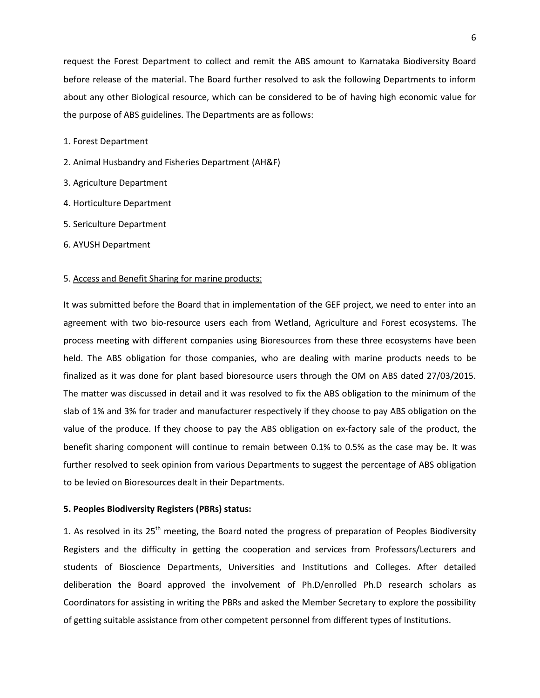request the Forest Department to collect and remit the ABS amount to Karnataka Biodiversity Board before release of the material. The Board further resolved to ask the following Departments to inform about any other Biological resource, which can be considered to be of having high economic value for the purpose of ABS guidelines. The Departments are as follows:

1. Forest Department

- 2. Animal Husbandry and Fisheries Department (AH&F)
- 3. Agriculture Department
- 4. Horticulture Department
- 5. Sericulture Department
- 6. AYUSH Department

#### 5. Access and Benefit Sharing for marine products:

It was submitted before the Board that in implementation of the GEF project, we need to enter into an agreement with two bio-resource users each from Wetland, Agriculture and Forest ecosystems. The process meeting with different companies using Bioresources from these three ecosystems have been held. The ABS obligation for those companies, who are dealing with marine products needs to be finalized as it was done for plant based bioresource users through the OM on ABS dated 27/03/2015. The matter was discussed in detail and it was resolved to fix the ABS obligation to the minimum of the slab of 1% and 3% for trader and manufacturer respectively if they choose to pay ABS obligation on the value of the produce. If they choose to pay the ABS obligation on ex-factory sale of the product, the benefit sharing component will continue to remain between 0.1% to 0.5% as the case may be. It was further resolved to seek opinion from various Departments to suggest the percentage of ABS obligation to be levied on Bioresources dealt in their Departments.

#### **5. Peoples Biodiversity Registers (PBRs) status:**

1. As resolved in its 25<sup>th</sup> meeting, the Board noted the progress of preparation of Peoples Biodiversity Registers and the difficulty in getting the cooperation and services from Professors/Lecturers and students of Bioscience Departments, Universities and Institutions and Colleges. After detailed deliberation the Board approved the involvement of Ph.D/enrolled Ph.D research scholars as Coordinators for assisting in writing the PBRs and asked the Member Secretary to explore the possibility of getting suitable assistance from other competent personnel from different types of Institutions.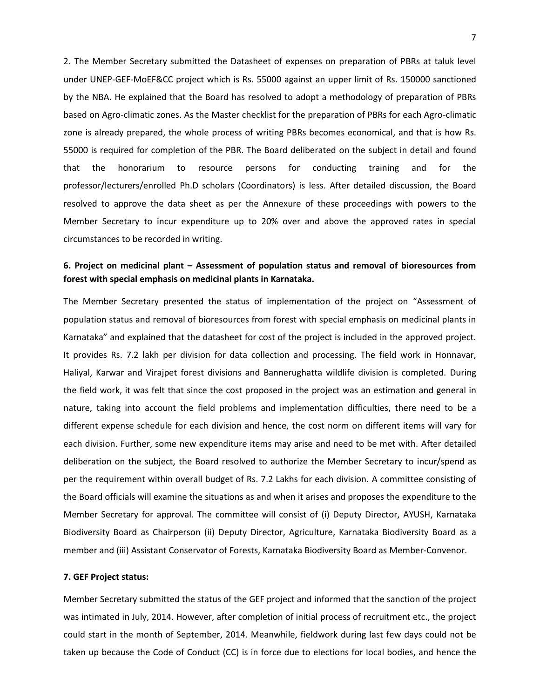2. The Member Secretary submitted the Datasheet of expenses on preparation of PBRs at taluk level under UNEP-GEF-MoEF&CC project which is Rs. 55000 against an upper limit of Rs. 150000 sanctioned by the NBA. He explained that the Board has resolved to adopt a methodology of preparation of PBRs based on Agro-climatic zones. As the Master checklist for the preparation of PBRs for each Agro-climatic zone is already prepared, the whole process of writing PBRs becomes economical, and that is how Rs. 55000 is required for completion of the PBR. The Board deliberated on the subject in detail and found that the honorarium to resource persons for conducting training and for the professor/lecturers/enrolled Ph.D scholars (Coordinators) is less. After detailed discussion, the Board resolved to approve the data sheet as per the Annexure of these proceedings with powers to the Member Secretary to incur expenditure up to 20% over and above the approved rates in special circumstances to be recorded in writing.

## **6. Project on medicinal plant – Assessment of population status and removal of bioresources from forest with special emphasis on medicinal plants in Karnataka.**

The Member Secretary presented the status of implementation of the project on "Assessment of population status and removal of bioresources from forest with special emphasis on medicinal plants in Karnataka" and explained that the datasheet for cost of the project is included in the approved project. It provides Rs. 7.2 lakh per division for data collection and processing. The field work in Honnavar, Haliyal, Karwar and Virajpet forest divisions and Bannerughatta wildlife division is completed. During the field work, it was felt that since the cost proposed in the project was an estimation and general in nature, taking into account the field problems and implementation difficulties, there need to be a different expense schedule for each division and hence, the cost norm on different items will vary for each division. Further, some new expenditure items may arise and need to be met with. After detailed deliberation on the subject, the Board resolved to authorize the Member Secretary to incur/spend as per the requirement within overall budget of Rs. 7.2 Lakhs for each division. A committee consisting of the Board officials will examine the situations as and when it arises and proposes the expenditure to the Member Secretary for approval. The committee will consist of (i) Deputy Director, AYUSH, Karnataka Biodiversity Board as Chairperson (ii) Deputy Director, Agriculture, Karnataka Biodiversity Board as a member and (iii) Assistant Conservator of Forests, Karnataka Biodiversity Board as Member-Convenor.

#### **7. GEF Project status:**

Member Secretary submitted the status of the GEF project and informed that the sanction of the project was intimated in July, 2014. However, after completion of initial process of recruitment etc., the project could start in the month of September, 2014. Meanwhile, fieldwork during last few days could not be taken up because the Code of Conduct (CC) is in force due to elections for local bodies, and hence the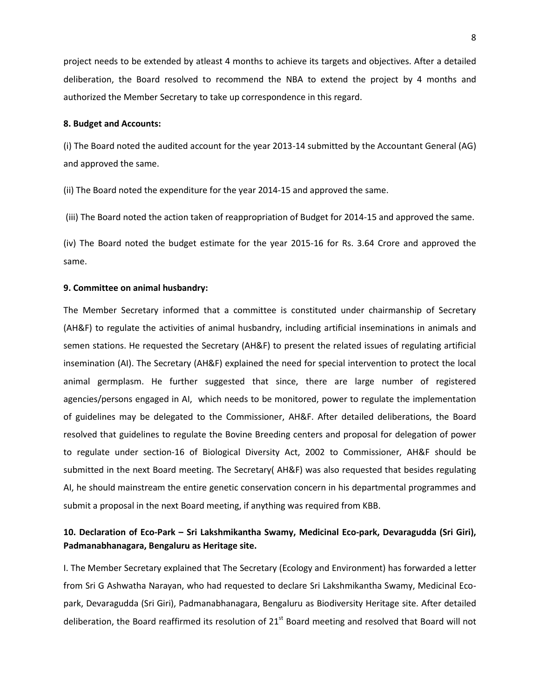project needs to be extended by atleast 4 months to achieve its targets and objectives. After a detailed deliberation, the Board resolved to recommend the NBA to extend the project by 4 months and authorized the Member Secretary to take up correspondence in this regard.

#### **8. Budget and Accounts:**

(i) The Board noted the audited account for the year 2013-14 submitted by the Accountant General (AG) and approved the same.

(ii) The Board noted the expenditure for the year 2014-15 and approved the same.

(iii) The Board noted the action taken of reappropriation of Budget for 2014-15 and approved the same.

(iv) The Board noted the budget estimate for the year 2015-16 for Rs. 3.64 Crore and approved the same.

#### **9. Committee on animal husbandry:**

The Member Secretary informed that a committee is constituted under chairmanship of Secretary (AH&F) to regulate the activities of animal husbandry, including artificial inseminations in animals and semen stations. He requested the Secretary (AH&F) to present the related issues of regulating artificial insemination (AI). The Secretary (AH&F) explained the need for special intervention to protect the local animal germplasm. He further suggested that since, there are large number of registered agencies/persons engaged in AI, which needs to be monitored, power to regulate the implementation of guidelines may be delegated to the Commissioner, AH&F. After detailed deliberations, the Board resolved that guidelines to regulate the Bovine Breeding centers and proposal for delegation of power to regulate under section-16 of Biological Diversity Act, 2002 to Commissioner, AH&F should be submitted in the next Board meeting. The Secretary( AH&F) was also requested that besides regulating AI, he should mainstream the entire genetic conservation concern in his departmental programmes and submit a proposal in the next Board meeting, if anything was required from KBB.

# **10. Declaration of Eco-Park – Sri Lakshmikantha Swamy, Medicinal Eco-park, Devaragudda (Sri Giri), Padmanabhanagara, Bengaluru as Heritage site.**

I. The Member Secretary explained that The Secretary (Ecology and Environment) has forwarded a letter from Sri G Ashwatha Narayan, who had requested to declare Sri Lakshmikantha Swamy, Medicinal Ecopark, Devaragudda (Sri Giri), Padmanabhanagara, Bengaluru as Biodiversity Heritage site. After detailed deliberation, the Board reaffirmed its resolution of 21<sup>st</sup> Board meeting and resolved that Board will not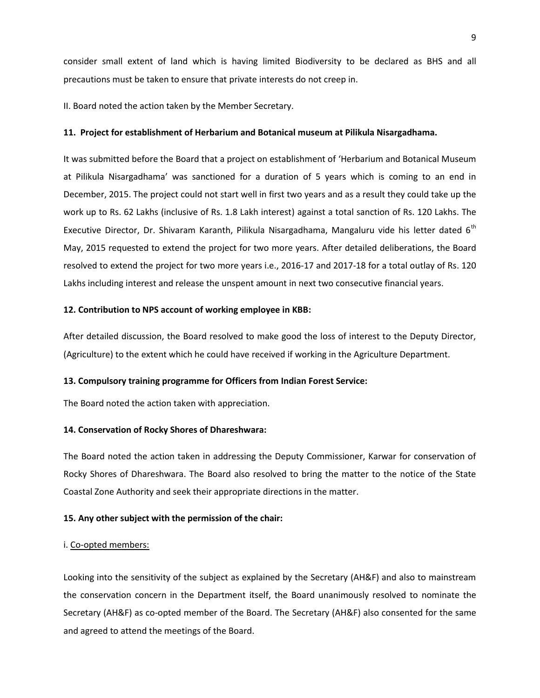consider small extent of land which is having limited Biodiversity to be declared as BHS and all precautions must be taken to ensure that private interests do not creep in.

II. Board noted the action taken by the Member Secretary.

#### **11. Project for establishment of Herbarium and Botanical museum at Pilikula Nisargadhama.**

It was submitted before the Board that a project on establishment of 'Herbarium and Botanical Museum at Pilikula Nisargadhama' was sanctioned for a duration of 5 years which is coming to an end in December, 2015. The project could not start well in first two years and as a result they could take up the work up to Rs. 62 Lakhs (inclusive of Rs. 1.8 Lakh interest) against a total sanction of Rs. 120 Lakhs. The Executive Director, Dr. Shivaram Karanth, Pilikula Nisargadhama, Mangaluru vide his letter dated 6<sup>th</sup> May, 2015 requested to extend the project for two more years. After detailed deliberations, the Board resolved to extend the project for two more years i.e., 2016-17 and 2017-18 for a total outlay of Rs. 120 Lakhs including interest and release the unspent amount in next two consecutive financial years.

#### **12. Contribution to NPS account of working employee in KBB:**

After detailed discussion, the Board resolved to make good the loss of interest to the Deputy Director, (Agriculture) to the extent which he could have received if working in the Agriculture Department.

#### **13. Compulsory training programme for Officers from Indian Forest Service:**

The Board noted the action taken with appreciation.

#### **14. Conservation of Rocky Shores of Dhareshwara:**

The Board noted the action taken in addressing the Deputy Commissioner, Karwar for conservation of Rocky Shores of Dhareshwara. The Board also resolved to bring the matter to the notice of the State Coastal Zone Authority and seek their appropriate directions in the matter.

#### **15. Any other subject with the permission of the chair:**

#### i. Co-opted members:

Looking into the sensitivity of the subject as explained by the Secretary (AH&F) and also to mainstream the conservation concern in the Department itself, the Board unanimously resolved to nominate the Secretary (AH&F) as co-opted member of the Board. The Secretary (AH&F) also consented for the same and agreed to attend the meetings of the Board.